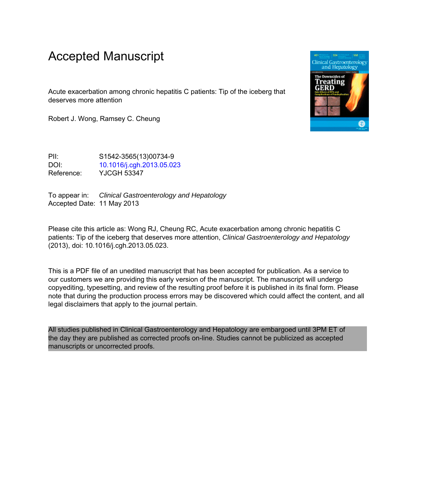# Accepted Manuscript

Acute exacerbation among chronic hepatitis C patients: Tip of the iceberg that deserves more attention

Robert J. Wong, Ramsey C. Cheung

PII: S1542-3565(13)00734-9 DOI: [10.1016/j.cgh.2013.05.023](http://dx.doi.org/10.1016/j.cgh.2013.05.023) Reference: YJCGH 53347

To appear in: Clinical Gastroenterology and Hepatology Accepted Date: 11 May 2013

Please cite this article as: Wong RJ, Cheung RC, Acute exacerbation among chronic hepatitis C patients: Tip of the iceberg that deserves more attention, Clinical Gastroenterology and Hepatology (2013), doi: 10.1016/j.cgh.2013.05.023.

This is a PDF file of an unedited manuscript that has been accepted for publication. As a service to our customers we are providing this early version of the manuscript. The manuscript will undergo copyediting, typesetting, and review of the resulting proof before it is published in its final form. Please note that during the production process errors may be discovered which could affect the content, and all legal disclaimers that apply to the journal pertain.

All studies published in Clinical Gastroenterology and Hepatology are embargoed until 3PM ET of the day they are published as corrected proofs on-line. Studies cannot be publicized as accepted manuscripts or uncorrected proofs.

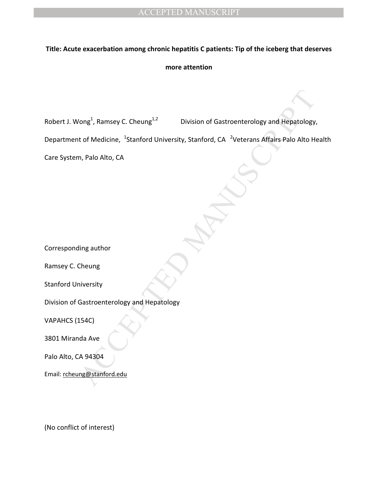## **Title: Acute exacerbation among chronic hepatitis C patients: Tip of the iceberg that deserves**

### **more attention**

rong<sup>1</sup>, Ramsey C. Cheung<sup>1,2</sup><br>
Division of Gastroenterology and Hepatology,<br>
to f Medicine, 'stanford University, Stanford, CA <sup>3</sup>Veterans Affairs Palo Alto Hi<br>
In, Palo Alto, CA<br>
In<br>
Ining author<br>
Ining author<br>
Ining aut Robert J. Wong<sup>1</sup>, Ramsey C. Cheung<sup>1,2</sup> Division of Gastroenterology and Hepatology,

Department of Medicine, <sup>1</sup>Stanford University, Stanford, CA <sup>2</sup>Veterans Affairs Palo Alto Health

Care System, Palo Alto, CA

Corresponding author

Ramsey C. Cheung

Stanford University

Division of Gastroenterology and Hepatology

VAPAHCS (154C)

3801 Miranda Ave

Palo Alto, CA 94304

Email: rcheung@stanford.edu

(No conflict of interest)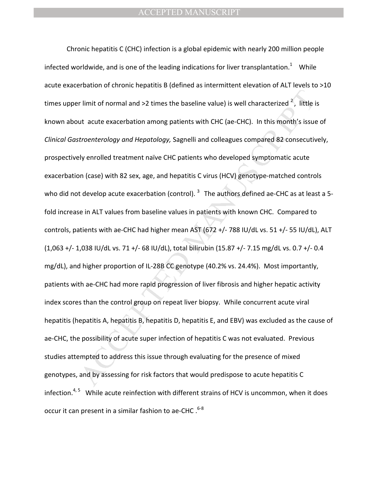r limit of normal and >2 times the baseline value) is well characterized  $^2$ , little i<br>ut acute exacerbation among patients with CHC (ae-CHC). In this month's issue<br>troemterology and Hepatology, Sagnelli and colleagues c Chronic hepatitis C (CHC) infection is a global epidemic with nearly 200 million people infected worldwide, and is one of the leading indications for liver transplantation.<sup>1</sup> While acute exacerbation of chronic hepatitis B (defined as intermittent elevation of ALT levels to >10 times upper limit of normal and >2 times the baseline value) is well characterized  $2^2$ , little is known about acute exacerbation among patients with CHC (ae-CHC). In this month's issue of *Clinical Gastroenterology and Hepatology,* Sagnelli and colleagues compared 82 consecutively, prospectively enrolled treatment naïve CHC patients who developed symptomatic acute exacerbation (case) with 82 sex, age, and hepatitis C virus (HCV) genotype-matched controls who did not develop acute exacerbation (control).  $3$  The authors defined ae-CHC as at least a 5fold increase in ALT values from baseline values in patients with known CHC. Compared to controls, patients with ae-CHC had higher mean AST (672 +/- 788 IU/dL vs. 51 +/- 55 IU/dL), ALT (1,063 +/- 1,038 IU/dL vs. 71 +/- 68 IU/dL), total bilirubin (15.87 +/- 7.15 mg/dL vs. 0.7 +/- 0.4 mg/dL), and higher proportion of IL-28B CC genotype (40.2% vs. 24.4%). Most importantly, patients with ae-CHC had more rapid progression of liver fibrosis and higher hepatic activity index scores than the control group on repeat liver biopsy. While concurrent acute viral hepatitis (hepatitis A, hepatitis B, hepatitis D, hepatitis E, and EBV) was excluded as the cause of ae-CHC, the possibility of acute super infection of hepatitis C was not evaluated. Previous studies attempted to address this issue through evaluating for the presence of mixed genotypes, and by assessing for risk factors that would predispose to acute hepatitis C infection. $4,5$  While acute reinfection with different strains of HCV is uncommon, when it does occur it can present in a similar fashion to ae-CHC  $.^{6-8}$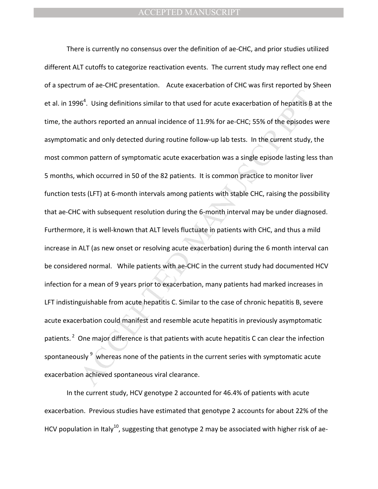$96^4$ . Using definitions similar to that used for acute exacerbation of hepatitis B<br>suthors reported an annual incidence of 11.9% for ae-CHC; 55% of the episodes valite and only detected during routine follow-up lab test There is currently no consensus over the definition of ae-CHC, and prior studies utilized different ALT cutoffs to categorize reactivation events. The current study may reflect one end of a spectrum of ae-CHC presentation. Acute exacerbation of CHC was first reported by Sheen et al. in 1996<sup>4</sup>. Using definitions similar to that used for acute exacerbation of hepatitis B at the time, the authors reported an annual incidence of 11.9% for ae-CHC; 55% of the episodes were asymptomatic and only detected during routine follow-up lab tests. In the current study, the most common pattern of symptomatic acute exacerbation was a single episode lasting less than 5 months, which occurred in 50 of the 82 patients. It is common practice to monitor liver function tests (LFT) at 6-month intervals among patients with stable CHC, raising the possibility that ae-CHC with subsequent resolution during the 6-month interval may be under diagnosed. Furthermore, it is well-known that ALT levels fluctuate in patients with CHC, and thus a mild increase in ALT (as new onset or resolving acute exacerbation) during the 6 month interval can be considered normal. While patients with ae-CHC in the current study had documented HCV infection for a mean of 9 years prior to exacerbation, many patients had marked increases in LFT indistinguishable from acute hepatitis C. Similar to the case of chronic hepatitis B, severe acute exacerbation could manifest and resemble acute hepatitis in previously asymptomatic patients.<sup>2</sup> One major difference is that patients with acute hepatitis C can clear the infection spontaneously  $9\,$  whereas none of the patients in the current series with symptomatic acute exacerbation achieved spontaneous viral clearance.

In the current study, HCV genotype 2 accounted for 46.4% of patients with acute exacerbation. Previous studies have estimated that genotype 2 accounts for about 22% of the HCV population in Italy<sup>10</sup>, suggesting that genotype 2 may be associated with higher risk of ae-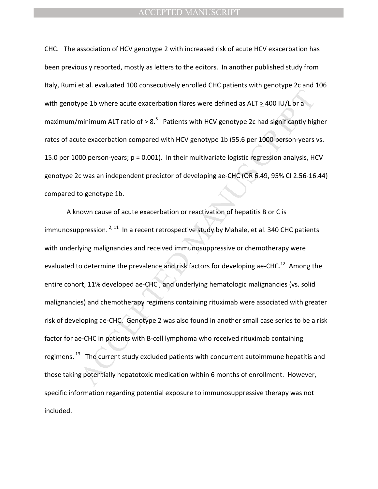CHC. The association of HCV genotype 2 with increased risk of acute HCV exacerbation has been previously reported, mostly as letters to the editors. In another published study from Italy, Rumi et al. evaluated 100 consecutively enrolled CHC patients with genotype 2c and 106 with genotype 1b where acute exacerbation flares were defined as ALT > 400 IU/L or a maximum/minimum ALT ratio of  $\geq 8.5$  Patients with HCV genotype 2c had significantly higher rates of acute exacerbation compared with HCV genotype 1b (55.6 per 1000 person-years vs. 15.0 per 1000 person-years; p = 0.001). In their multivariate logistic regression analysis, HCV genotype 2c was an independent predictor of developing ae-CHC (OR 6.49, 95% CI 2.56-16.44) compared to genotype 1b.

give 1b where acute exacerbation flares were defined as ALT  $\geq$  400 IU/L or a<br>minimum ALT ratio of  $\geq 8.5^{\circ}$  Patients with HCV genotype 2c had significantly hig<br>the exacerbation compared with HCV genotype 1b (55.6 p A known cause of acute exacerbation or reactivation of hepatitis B or C is immunosuppression. <sup>2, 11</sup> In a recent retrospective study by Mahale, et al. 340 CHC patients with underlying malignancies and received immunosuppressive or chemotherapy were evaluated to determine the prevalence and risk factors for developing ae-CHC.<sup>12</sup> Among the entire cohort, 11% developed ae-CHC , and underlying hematologic malignancies (vs. solid malignancies) and chemotherapy regimens containing rituximab were associated with greater risk of developing ae-CHC. Genotype 2 was also found in another small case series to be a risk factor for ae-CHC in patients with B-cell lymphoma who received rituximab containing regimens.<sup>13</sup> The current study excluded patients with concurrent autoimmune hepatitis and those taking potentially hepatotoxic medication within 6 months of enrollment. However, specific information regarding potential exposure to immunosuppressive therapy was not included.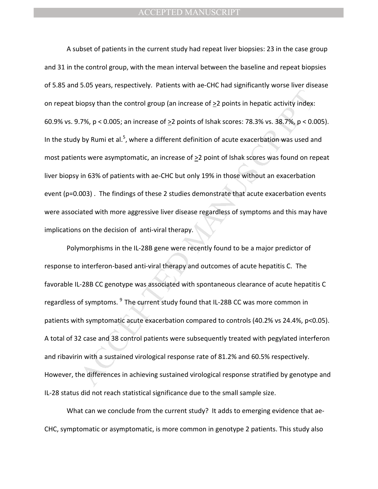bionsy than the control group (an increase of  $\geq$ 2 points in hepatic activity index:<br>
7%, p < 0.005; an increase of  $\geq$ 2 points of Ishak scores: 78.3% vs. 38.7%, p < 0.0<br>
7%, p < 0.005; an increase of  $\geq$ 2 points of A subset of patients in the current study had repeat liver biopsies: 23 in the case group and 31 in the control group, with the mean interval between the baseline and repeat biopsies of 5.85 and 5.05 years, respectively. Patients with ae-CHC had significantly worse liver disease on repeat biopsy than the control group (an increase of >2 points in hepatic activity index: 60.9% vs. 9.7%, p < 0.005; an increase of >2 points of Ishak scores: 78.3% vs. 38.7%, p < 0.005). In the study by Rumi et al.<sup>5</sup>, where a different definition of acute exacerbation was used and most patients were asymptomatic, an increase of  $\geq 2$  point of Ishak scores was found on repeat liver biopsy in 63% of patients with ae-CHC but only 19% in those without an exacerbation event (p=0.003) . The findings of these 2 studies demonstrate that acute exacerbation events were associated with more aggressive liver disease regardless of symptoms and this may have implications on the decision of anti-viral therapy.

Polymorphisms in the IL-28B gene were recently found to be a major predictor of response to interferon-based anti-viral therapy and outcomes of acute hepatitis C. The favorable IL-28B CC genotype was associated with spontaneous clearance of acute hepatitis C regardless of symptoms. <sup>9</sup> The current study found that IL-28B CC was more common in patients with symptomatic acute exacerbation compared to controls (40.2% vs 24.4%, p<0.05). A total of 32 case and 38 control patients were subsequently treated with pegylated interferon and ribavirin with a sustained virological response rate of 81.2% and 60.5% respectively. However, the differences in achieving sustained virological response stratified by genotype and IL-28 status did not reach statistical significance due to the small sample size.

What can we conclude from the current study? It adds to emerging evidence that ae-CHC, symptomatic or asymptomatic, is more common in genotype 2 patients. This study also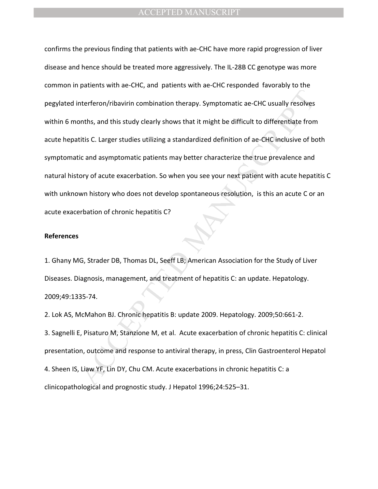thereferon/ribavirin combination therapy. Symptomatic ae-CHC usually resolves<br>
Someths, and this study clearly shows that it might be difficult to differentiate from<br>
this C. Larger studies utilizing a standardized definit confirms the previous finding that patients with ae-CHC have more rapid progression of liver disease and hence should be treated more aggressively. The IL-28B CC genotype was more common in patients with ae-CHC, and patients with ae-CHC responded favorably to the pegylated interferon/ribavirin combination therapy. Symptomatic ae-CHC usually resolves within 6 months, and this study clearly shows that it might be difficult to differentiate from acute hepatitis C. Larger studies utilizing a standardized definition of ae-CHC inclusive of both symptomatic and asymptomatic patients may better characterize the true prevalence and natural history of acute exacerbation. So when you see your next patient with acute hepatitis C with unknown history who does not develop spontaneous resolution, is this an acute C or an acute exacerbation of chronic hepatitis C?

#### **References**

1. Ghany MG, Strader DB, Thomas DL, Seeff LB; American Association for the Study of Liver Diseases. Diagnosis, management, and treatment of hepatitis C: an update. Hepatology. 2009;49:1335-74.

2. Lok AS, McMahon BJ. Chronic hepatitis B: update 2009. Hepatology. 2009;50:661-2. 3. Sagnelli E, Pisaturo M, Stanzione M, et al. Acute exacerbation of chronic hepatitis C: clinical presentation, outcome and response to antiviral therapy, in press, Clin Gastroenterol Hepatol 4. Sheen IS, Liaw YF, Lin DY, Chu CM. Acute exacerbations in chronic hepatitis C: a clinicopathological and prognostic study. J Hepatol 1996;24:525–31.